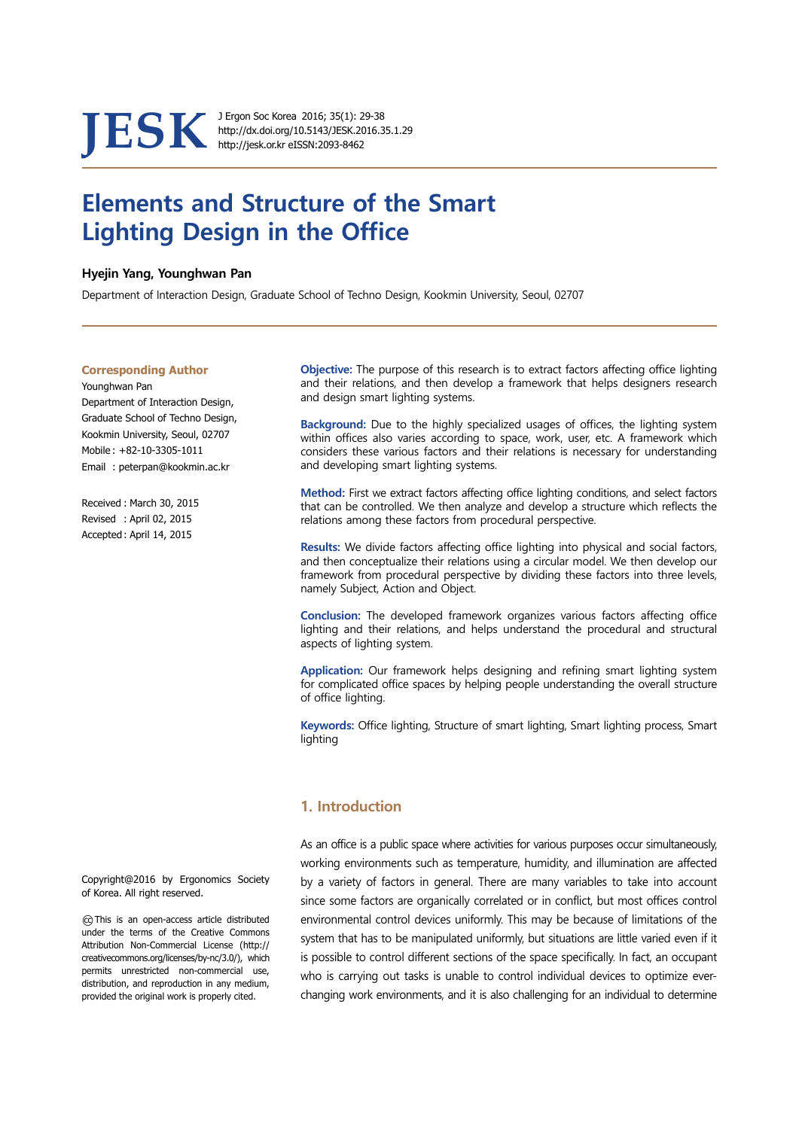# **JESK** J. Ergon Soc Korea 2016; 35(1): 29-38<br>http://jesk.or.kr eISSN:2093-8462

http://dx.doi.org/10.5143/JESK.2016.35.1.29 http://jesk.or.kr eISSN:2093-8462

## **Elements and Structure of the Smart Lighting Design in the Office**

#### **Hyejin Yang, Younghwan Pan**

Department of Interaction Design, Graduate School of Techno Design, Kookmin University, Seoul, 02707

#### **Corresponding Author**

Younghwan Pan Department of Interaction Design, Graduate School of Techno Design, Kookmin University, Seoul, 02707 Mobile : +82-10-3305-1011 Email : peterpan@kookmin.ac.kr

Received : March 30, 2015 Revised : April 02, 2015 Accepted : April 14, 2015

 **Objective:** The purpose of this research is to extract factors affecting office lighting and their relations, and then develop a framework that helps designers research and design smart lighting systems.

**Background:** Due to the highly specialized usages of offices, the lighting system within offices also varies according to space, work, user, etc. A framework which considers these various factors and their relations is necessary for understanding and developing smart lighting systems.

**Method:** First we extract factors affecting office lighting conditions, and select factors that can be controlled. We then analyze and develop a structure which reflects the relations among these factors from procedural perspective.

**Results:** We divide factors affecting office lighting into physical and social factors, and then conceptualize their relations using a circular model. We then develop our framework from procedural perspective by dividing these factors into three levels, namely Subject, Action and Object.

**Conclusion:** The developed framework organizes various factors affecting office lighting and their relations, and helps understand the procedural and structural aspects of lighting system.

**Application:** Our framework helps designing and refining smart lighting system for complicated office spaces by helping people understanding the overall structure of office lighting.

**Keywords:** Office lighting, Structure of smart lighting, Smart lighting process, Smart lighting

## **1. Introduction**

As an office is a public space where activities for various purposes occur simultaneously, working environments such as temperature, humidity, and illumination are affected by a variety of factors in general. There are many variables to take into account since some factors are organically correlated or in conflict, but most offices control environmental control devices uniformly. This may be because of limitations of the system that has to be manipulated uniformly, but situations are little varied even if it is possible to control different sections of the space specifically. In fact, an occupant who is carrying out tasks is unable to control individual devices to optimize everchanging work environments, and it is also challenging for an individual to determine

Copyright@2016 by Ergonomics Society of Korea. All right reserved.

○cc This is an open-access article distributed under the terms of the Creative Commons Attribution Non-Commercial License (http:// creativecommons.org/licenses/by-nc/3.0/), which permits unrestricted non-commercial use, distribution, and reproduction in any medium, provided the original work is properly cited.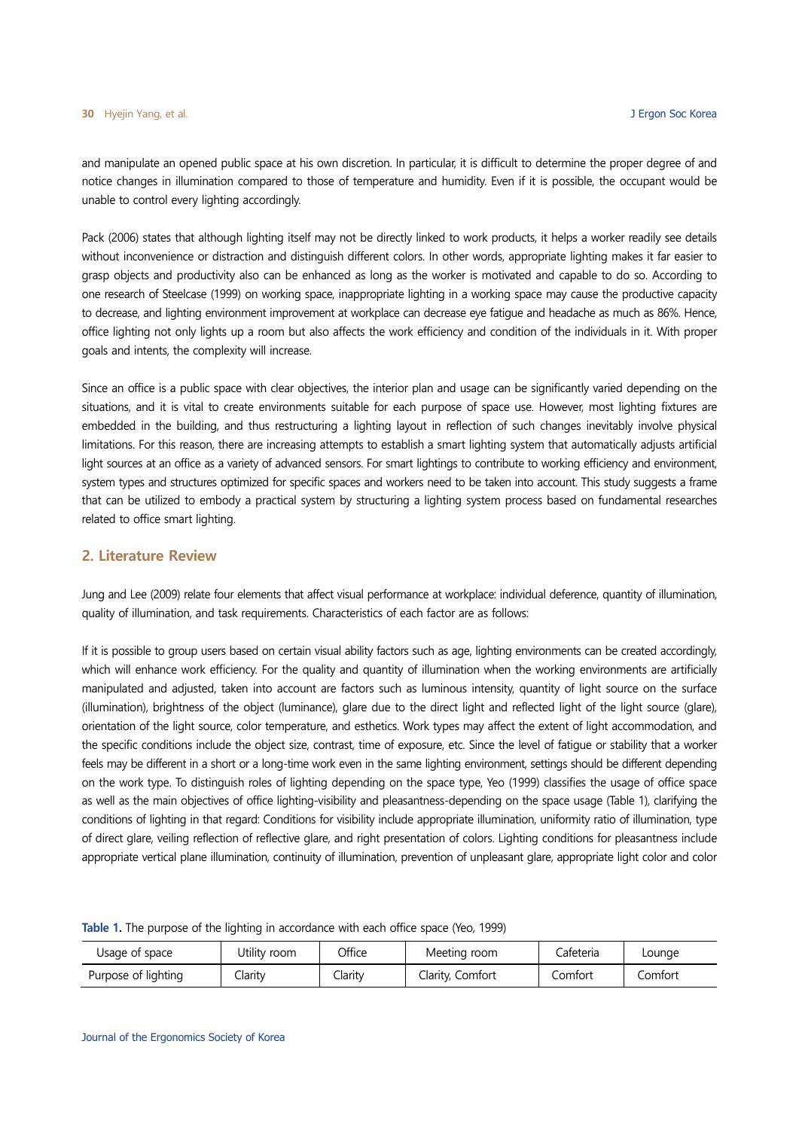and manipulate an opened public space at his own discretion. In particular, it is difficult to determine the proper degree of and notice changes in illumination compared to those of temperature and humidity. Even if it is possible, the occupant would be unable to control every lighting accordingly.

Pack (2006) states that although lighting itself may not be directly linked to work products, it helps a worker readily see details without inconvenience or distraction and distinguish different colors. In other words, appropriate lighting makes it far easier to grasp objects and productivity also can be enhanced as long as the worker is motivated and capable to do so. According to one research of Steelcase (1999) on working space, inappropriate lighting in a working space may cause the productive capacity to decrease, and lighting environment improvement at workplace can decrease eye fatigue and headache as much as 86%. Hence, office lighting not only lights up a room but also affects the work efficiency and condition of the individuals in it. With proper goals and intents, the complexity will increase.

Since an office is a public space with clear objectives, the interior plan and usage can be significantly varied depending on the situations, and it is vital to create environments suitable for each purpose of space use. However, most lighting fixtures are embedded in the building, and thus restructuring a lighting layout in reflection of such changes inevitably involve physical limitations. For this reason, there are increasing attempts to establish a smart lighting system that automatically adjusts artificial light sources at an office as a variety of advanced sensors. For smart lightings to contribute to working efficiency and environment, system types and structures optimized for specific spaces and workers need to be taken into account. This study suggests a frame that can be utilized to embody a practical system by structuring a lighting system process based on fundamental researches related to office smart lighting.

#### **2. Literature Review**

Jung and Lee (2009) relate four elements that affect visual performance at workplace: individual deference, quantity of illumination, quality of illumination, and task requirements. Characteristics of each factor are as follows:

If it is possible to group users based on certain visual ability factors such as age, lighting environments can be created accordingly, which will enhance work efficiency. For the quality and quantity of illumination when the working environments are artificially manipulated and adjusted, taken into account are factors such as luminous intensity, quantity of light source on the surface (illumination), brightness of the object (luminance), glare due to the direct light and reflected light of the light source (glare), orientation of the light source, color temperature, and esthetics. Work types may affect the extent of light accommodation, and the specific conditions include the object size, contrast, time of exposure, etc. Since the level of fatigue or stability that a worker feels may be different in a short or a long-time work even in the same lighting environment, settings should be different depending on the work type. To distinguish roles of lighting depending on the space type, Yeo (1999) classifies the usage of office space as well as the main objectives of office lighting-visibility and pleasantness-depending on the space usage (Table 1), clarifying the conditions of lighting in that regard: Conditions for visibility include appropriate illumination, uniformity ratio of illumination, type of direct glare, veiling reflection of reflective glare, and right presentation of colors. Lighting conditions for pleasantness include appropriate vertical plane illumination, continuity of illumination, prevention of unpleasant glare, appropriate light color and color

| Usage of space      | Utility room   | Office | Meeting room     | Cafeteria | Lounge  |
|---------------------|----------------|--------|------------------|-----------|---------|
| Purpose of lighting | <u>Clarity</u> | Jarity | Clarity, Comfort | Comfort   | Comfort |

**Table 1.** The purpose of the lighting in accordance with each office space (Yeo, 1999)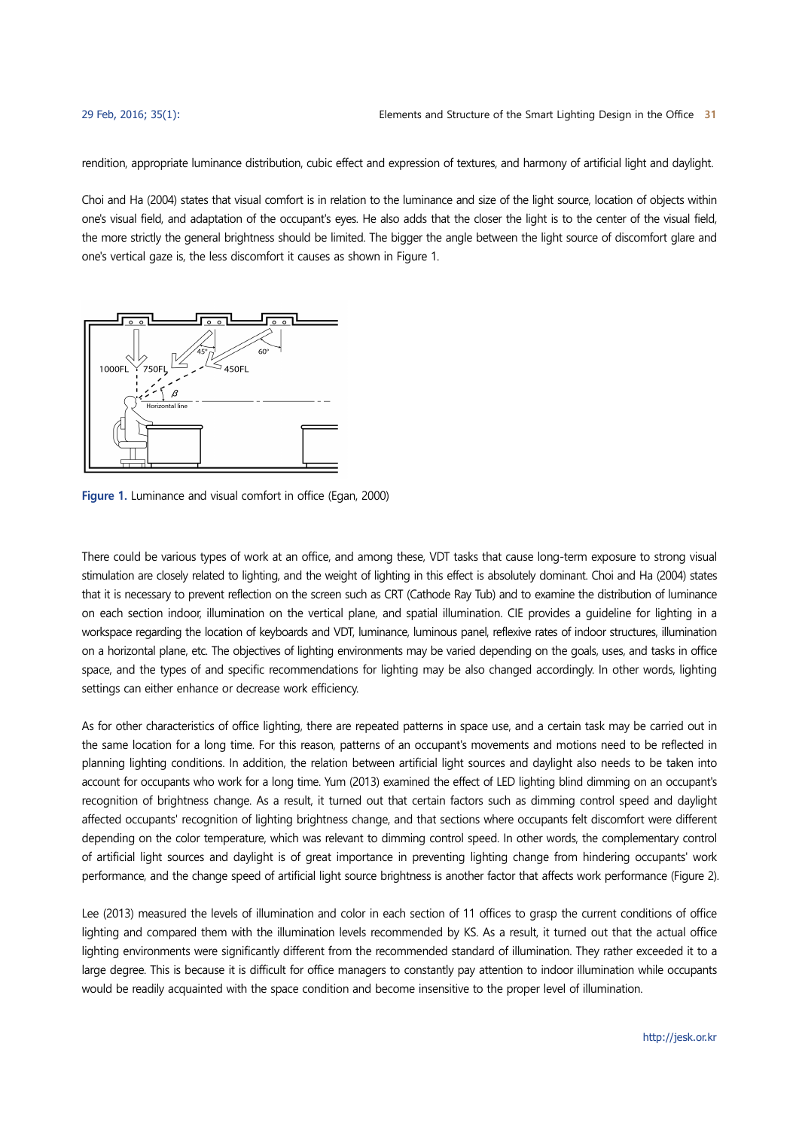rendition, appropriate luminance distribution, cubic effect and expression of textures, and harmony of artificial light and daylight.

Choi and Ha (2004) states that visual comfort is in relation to the luminance and size of the light source, location of objects within one's visual field, and adaptation of the occupant's eyes. He also adds that the closer the light is to the center of the visual field, the more strictly the general brightness should be limited. The bigger the angle between the light source of discomfort glare and one's vertical gaze is, the less discomfort it causes as shown in Figure 1.



**Figure 1.** Luminance and visual comfort in office (Egan, 2000)

There could be various types of work at an office, and among these, VDT tasks that cause long-term exposure to strong visual stimulation are closely related to lighting, and the weight of lighting in this effect is absolutely dominant. Choi and Ha (2004) states that it is necessary to prevent reflection on the screen such as CRT (Cathode Ray Tub) and to examine the distribution of luminance on each section indoor, illumination on the vertical plane, and spatial illumination. CIE provides a guideline for lighting in a workspace regarding the location of keyboards and VDT, luminance, luminous panel, reflexive rates of indoor structures, illumination on a horizontal plane, etc. The objectives of lighting environments may be varied depending on the goals, uses, and tasks in office space, and the types of and specific recommendations for lighting may be also changed accordingly. In other words, lighting settings can either enhance or decrease work efficiency.

As for other characteristics of office lighting, there are repeated patterns in space use, and a certain task may be carried out in the same location for a long time. For this reason, patterns of an occupant's movements and motions need to be reflected in planning lighting conditions. In addition, the relation between artificial light sources and daylight also needs to be taken into account for occupants who work for a long time. Yum (2013) examined the effect of LED lighting blind dimming on an occupant's recognition of brightness change. As a result, it turned out that certain factors such as dimming control speed and daylight affected occupants' recognition of lighting brightness change, and that sections where occupants felt discomfort were different depending on the color temperature, which was relevant to dimming control speed. In other words, the complementary control of artificial light sources and daylight is of great importance in preventing lighting change from hindering occupants' work performance, and the change speed of artificial light source brightness is another factor that affects work performance (Figure 2).

Lee (2013) measured the levels of illumination and color in each section of 11 offices to grasp the current conditions of office lighting and compared them with the illumination levels recommended by KS. As a result, it turned out that the actual office lighting environments were significantly different from the recommended standard of illumination. They rather exceeded it to a large degree. This is because it is difficult for office managers to constantly pay attention to indoor illumination while occupants would be readily acquainted with the space condition and become insensitive to the proper level of illumination.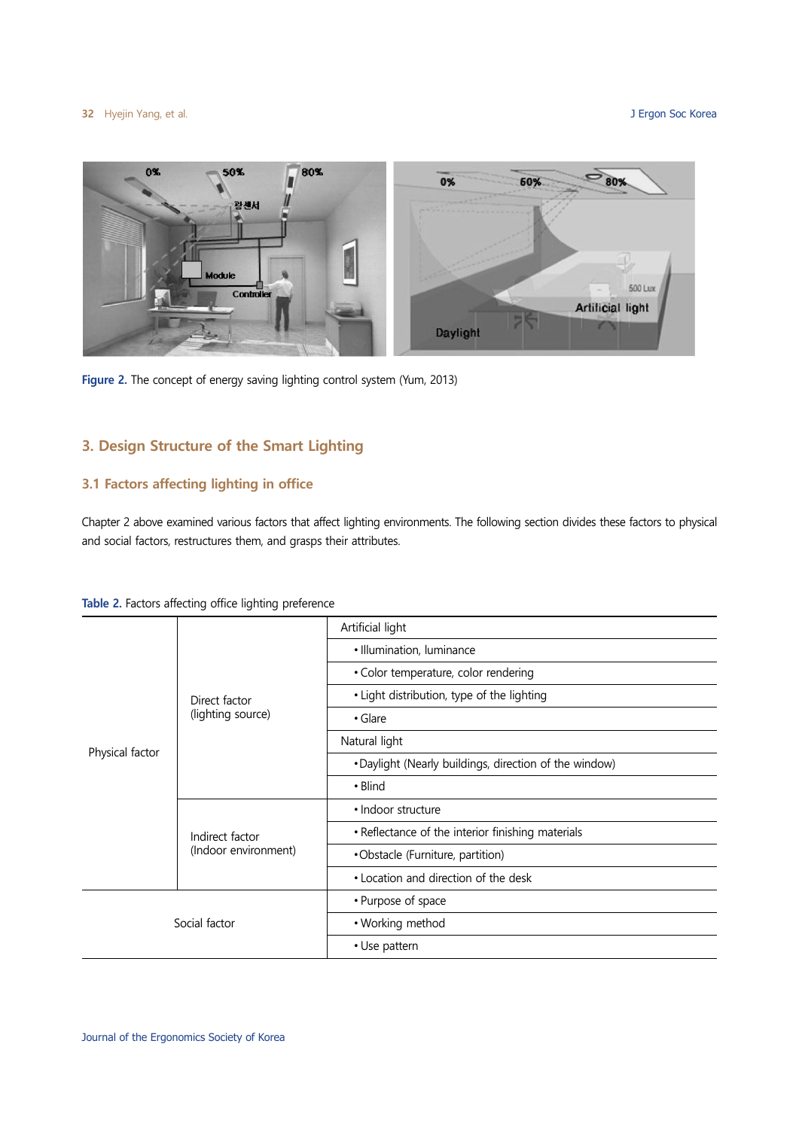

**Figure 2.** The concept of energy saving lighting control system (Yum, 2013)

## **3. Design Structure of the Smart Lighting**

## **3.1 Factors affecting lighting in office**

Chapter 2 above examined various factors that affect lighting environments. The following section divides these factors to physical and social factors, restructures them, and grasps their attributes.

| Physical factor | Direct factor<br>(lighting source)      | Artificial light                                       |  |
|-----------------|-----------------------------------------|--------------------------------------------------------|--|
|                 |                                         | · Illumination, luminance                              |  |
|                 |                                         | • Color temperature, color rendering                   |  |
|                 |                                         | • Light distribution, type of the lighting             |  |
|                 |                                         | • Glare                                                |  |
|                 |                                         | Natural light                                          |  |
|                 |                                         | . Daylight (Nearly buildings, direction of the window) |  |
|                 |                                         | • Blind                                                |  |
|                 | Indirect factor<br>(Indoor environment) | · Indoor structure                                     |  |
|                 |                                         | • Reflectance of the interior finishing materials      |  |
|                 |                                         | •Obstacle (Furniture, partition)                       |  |
|                 |                                         | • Location and direction of the desk                   |  |
| Social factor   |                                         | • Purpose of space                                     |  |
|                 |                                         | • Working method                                       |  |
|                 |                                         | • Use pattern                                          |  |

**Table 2.** Factors affecting office lighting preference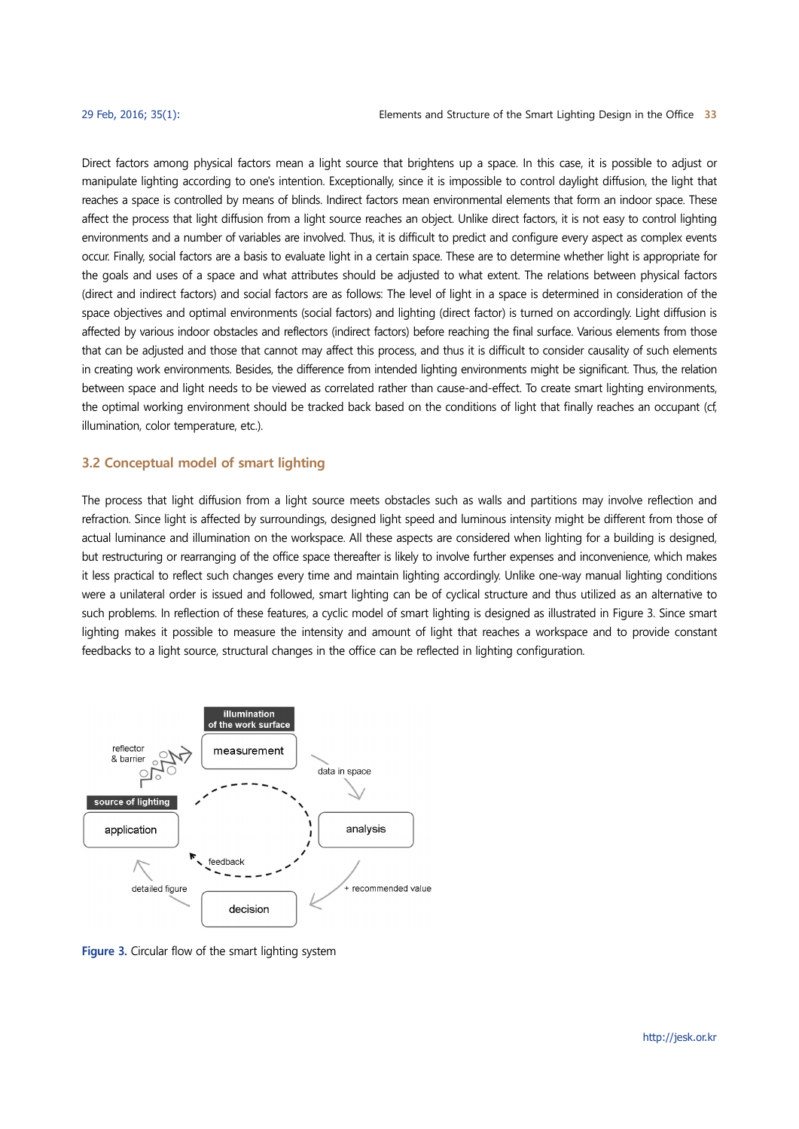Direct factors among physical factors mean a light source that brightens up a space. In this case, it is possible to adjust or manipulate lighting according to one's intention. Exceptionally, since it is impossible to control daylight diffusion, the light that reaches a space is controlled by means of blinds. Indirect factors mean environmental elements that form an indoor space. These affect the process that light diffusion from a light source reaches an object. Unlike direct factors, it is not easy to control lighting environments and a number of variables are involved. Thus, it is difficult to predict and configure every aspect as complex events occur. Finally, social factors are a basis to evaluate light in a certain space. These are to determine whether light is appropriate for the goals and uses of a space and what attributes should be adjusted to what extent. The relations between physical factors (direct and indirect factors) and social factors are as follows: The level of light in a space is determined in consideration of the space objectives and optimal environments (social factors) and lighting (direct factor) is turned on accordingly. Light diffusion is affected by various indoor obstacles and reflectors (indirect factors) before reaching the final surface. Various elements from those that can be adjusted and those that cannot may affect this process, and thus it is difficult to consider causality of such elements in creating work environments. Besides, the difference from intended lighting environments might be significant. Thus, the relation between space and light needs to be viewed as correlated rather than cause-and-effect. To create smart lighting environments, the optimal working environment should be tracked back based on the conditions of light that finally reaches an occupant (cf, illumination, color temperature, etc.).

#### **3.2 Conceptual model of smart lighting**

The process that light diffusion from a light source meets obstacles such as walls and partitions may involve reflection and refraction. Since light is affected by surroundings, designed light speed and luminous intensity might be different from those of actual luminance and illumination on the workspace. All these aspects are considered when lighting for a building is designed, but restructuring or rearranging of the office space thereafter is likely to involve further expenses and inconvenience, which makes it less practical to reflect such changes every time and maintain lighting accordingly. Unlike one-way manual lighting conditions were a unilateral order is issued and followed, smart lighting can be of cyclical structure and thus utilized as an alternative to such problems. In reflection of these features, a cyclic model of smart lighting is designed as illustrated in Figure 3. Since smart lighting makes it possible to measure the intensity and amount of light that reaches a workspace and to provide constant feedbacks to a light source, structural changes in the office can be reflected in lighting configuration.



**Figure 3.** Circular flow of the smart lighting system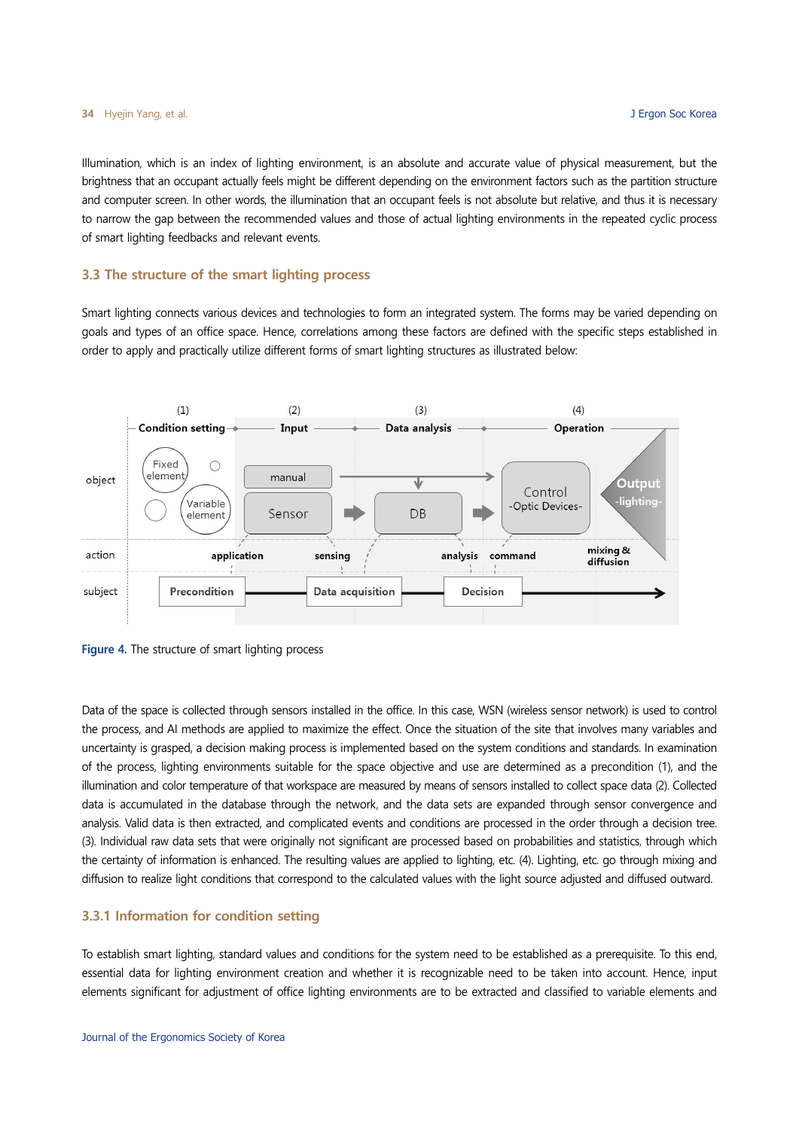Illumination, which is an index of lighting environment, is an absolute and accurate value of physical measurement, but the brightness that an occupant actually feels might be different depending on the environment factors such as the partition structure and computer screen. In other words, the illumination that an occupant feels is not absolute but relative, and thus it is necessary to narrow the gap between the recommended values and those of actual lighting environments in the repeated cyclic process of smart lighting feedbacks and relevant events.

#### **3.3 The structure of the smart lighting process**

Smart lighting connects various devices and technologies to form an integrated system. The forms may be varied depending on goals and types of an office space. Hence, correlations among these factors are defined with the specific steps established in order to apply and practically utilize different forms of smart lighting structures as illustrated below:





Data of the space is collected through sensors installed in the office. In this case, WSN (wireless sensor network) is used to control the process, and AI methods are applied to maximize the effect. Once the situation of the site that involves many variables and uncertainty is grasped, a decision making process is implemented based on the system conditions and standards. In examination of the process, lighting environments suitable for the space objective and use are determined as a precondition (1), and the illumination and color temperature of that workspace are measured by means of sensors installed to collect space data (2). Collected data is accumulated in the database through the network, and the data sets are expanded through sensor convergence and analysis. Valid data is then extracted, and complicated events and conditions are processed in the order through a decision tree. (3). Individual raw data sets that were originally not significant are processed based on probabilities and statistics, through which the certainty of information is enhanced. The resulting values are applied to lighting, etc. (4). Lighting, etc. go through mixing and diffusion to realize light conditions that correspond to the calculated values with the light source adjusted and diffused outward.

#### **3.3.1 Information for condition setting**

To establish smart lighting, standard values and conditions for the system need to be established as a prerequisite. To this end, essential data for lighting environment creation and whether it is recognizable need to be taken into account. Hence, input elements significant for adjustment of office lighting environments are to be extracted and classified to variable elements and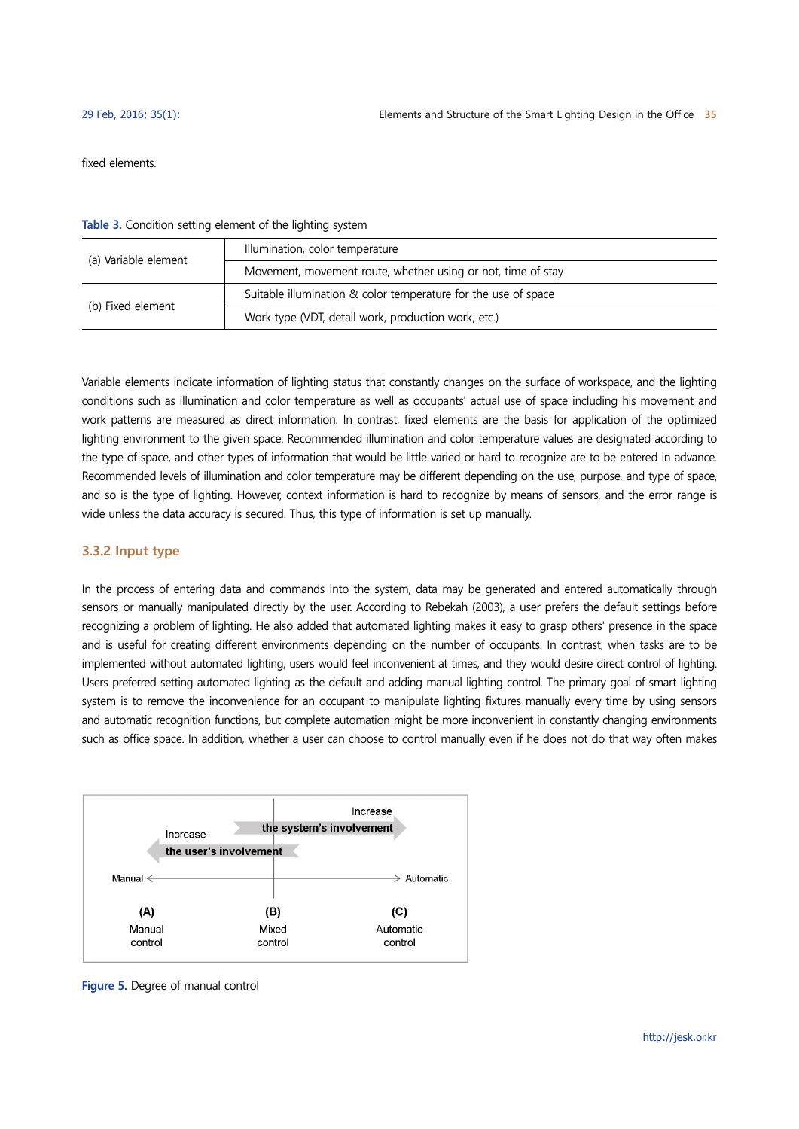fixed elements.

**Table 3.** Condition setting element of the lighting system

| (a) Variable element | Illumination, color temperature                                |  |  |
|----------------------|----------------------------------------------------------------|--|--|
|                      | Movement, movement route, whether using or not, time of stay   |  |  |
| (b) Fixed element    | Suitable illumination & color temperature for the use of space |  |  |
|                      | Work type (VDT, detail work, production work, etc.)            |  |  |

Variable elements indicate information of lighting status that constantly changes on the surface of workspace, and the lighting conditions such as illumination and color temperature as well as occupants' actual use of space including his movement and work patterns are measured as direct information. In contrast, fixed elements are the basis for application of the optimized lighting environment to the given space. Recommended illumination and color temperature values are designated according to the type of space, and other types of information that would be little varied or hard to recognize are to be entered in advance. Recommended levels of illumination and color temperature may be different depending on the use, purpose, and type of space, and so is the type of lighting. However, context information is hard to recognize by means of sensors, and the error range is wide unless the data accuracy is secured. Thus, this type of information is set up manually.

#### **3.3.2 Input type**

In the process of entering data and commands into the system, data may be generated and entered automatically through sensors or manually manipulated directly by the user. According to Rebekah (2003), a user prefers the default settings before recognizing a problem of lighting. He also added that automated lighting makes it easy to grasp others' presence in the space and is useful for creating different environments depending on the number of occupants. In contrast, when tasks are to be implemented without automated lighting, users would feel inconvenient at times, and they would desire direct control of lighting. Users preferred setting automated lighting as the default and adding manual lighting control. The primary goal of smart lighting system is to remove the inconvenience for an occupant to manipulate lighting fixtures manually every time by using sensors and automatic recognition functions, but complete automation might be more inconvenient in constantly changing environments such as office space. In addition, whether a user can choose to control manually even if he does not do that way often makes



**Figure 5.** Degree of manual control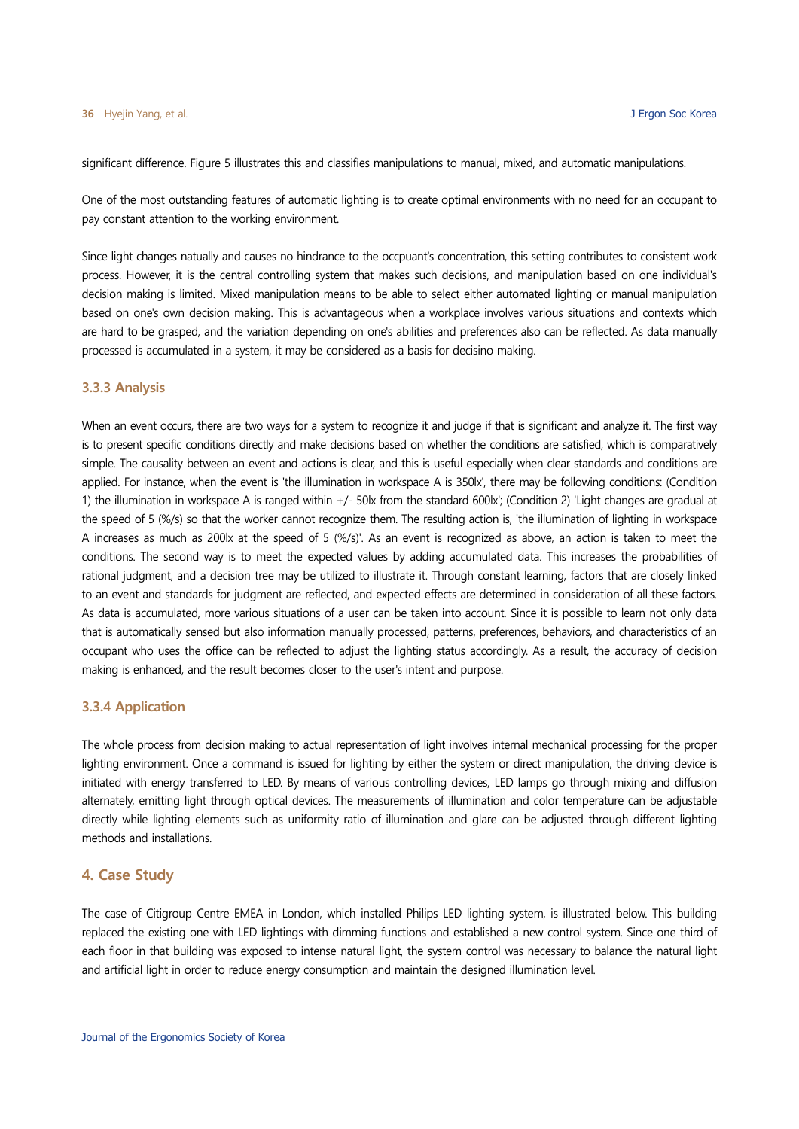significant difference. Figure 5 illustrates this and classifies manipulations to manual, mixed, and automatic manipulations.

One of the most outstanding features of automatic lighting is to create optimal environments with no need for an occupant to pay constant attention to the working environment.

Since light changes natually and causes no hindrance to the occpuant's concentration, this setting contributes to consistent work process. However, it is the central controlling system that makes such decisions, and manipulation based on one individual's decision making is limited. Mixed manipulation means to be able to select either automated lighting or manual manipulation based on one's own decision making. This is advantageous when a workplace involves various situations and contexts which are hard to be grasped, and the variation depending on one's abilities and preferences also can be reflected. As data manually processed is accumulated in a system, it may be considered as a basis for decisino making.

#### **3.3.3 Analysis**

When an event occurs, there are two ways for a system to recognize it and judge if that is significant and analyze it. The first way is to present specific conditions directly and make decisions based on whether the conditions are satisfied, which is comparatively simple. The causality between an event and actions is clear, and this is useful especially when clear standards and conditions are applied. For instance, when the event is 'the illumination in workspace A is 350lx', there may be following conditions: (Condition 1) the illumination in workspace A is ranged within +/- 50lx from the standard 600lx'; (Condition 2) 'Light changes are gradual at the speed of 5 (%/s) so that the worker cannot recognize them. The resulting action is, 'the illumination of lighting in workspace A increases as much as 200lx at the speed of 5 (%/s)'. As an event is recognized as above, an action is taken to meet the conditions. The second way is to meet the expected values by adding accumulated data. This increases the probabilities of rational judgment, and a decision tree may be utilized to illustrate it. Through constant learning, factors that are closely linked to an event and standards for judgment are reflected, and expected effects are determined in consideration of all these factors. As data is accumulated, more various situations of a user can be taken into account. Since it is possible to learn not only data that is automatically sensed but also information manually processed, patterns, preferences, behaviors, and characteristics of an occupant who uses the office can be reflected to adjust the lighting status accordingly. As a result, the accuracy of decision making is enhanced, and the result becomes closer to the user's intent and purpose.

#### **3.3.4 Application**

The whole process from decision making to actual representation of light involves internal mechanical processing for the proper lighting environment. Once a command is issued for lighting by either the system or direct manipulation, the driving device is initiated with energy transferred to LED. By means of various controlling devices, LED lamps go through mixing and diffusion alternately, emitting light through optical devices. The measurements of illumination and color temperature can be adjustable directly while lighting elements such as uniformity ratio of illumination and glare can be adjusted through different lighting methods and installations.

#### **4. Case Study**

The case of Citigroup Centre EMEA in London, which installed Philips LED lighting system, is illustrated below. This building replaced the existing one with LED lightings with dimming functions and established a new control system. Since one third of each floor in that building was exposed to intense natural light, the system control was necessary to balance the natural light and artificial light in order to reduce energy consumption and maintain the designed illumination level.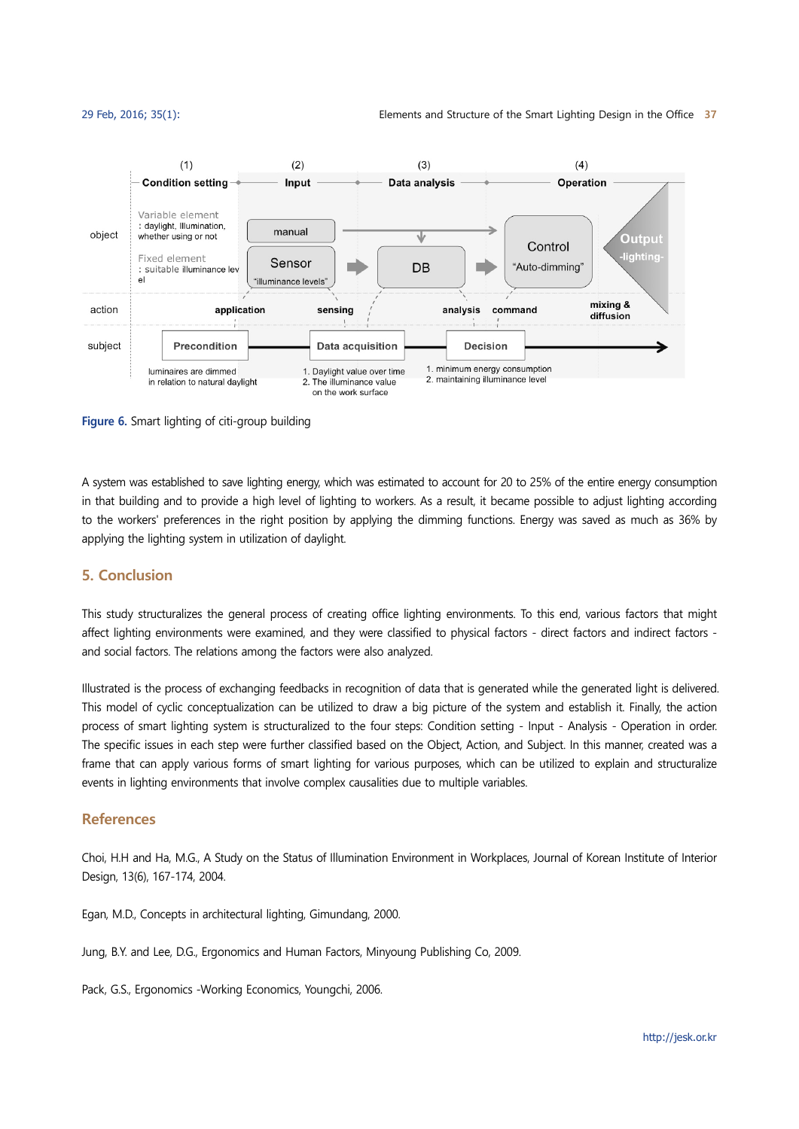

**Figure 6.** Smart lighting of citi-group building

A system was established to save lighting energy, which was estimated to account for 20 to 25% of the entire energy consumption in that building and to provide a high level of lighting to workers. As a result, it became possible to adjust lighting according to the workers' preferences in the right position by applying the dimming functions. Energy was saved as much as 36% by applying the lighting system in utilization of daylight.

## **5. Conclusion**

This study structuralizes the general process of creating office lighting environments. To this end, various factors that might affect lighting environments were examined, and they were classified to physical factors - direct factors and indirect factors and social factors. The relations among the factors were also analyzed.

Illustrated is the process of exchanging feedbacks in recognition of data that is generated while the generated light is delivered. This model of cyclic conceptualization can be utilized to draw a big picture of the system and establish it. Finally, the action process of smart lighting system is structuralized to the four steps: Condition setting - Input - Analysis - Operation in order. The specific issues in each step were further classified based on the Object, Action, and Subject. In this manner, created was a frame that can apply various forms of smart lighting for various purposes, which can be utilized to explain and structuralize events in lighting environments that involve complex causalities due to multiple variables.

## **References**

Choi, H.H and Ha, M.G., A Study on the Status of Illumination Environment in Workplaces, Journal of Korean Institute of Interior Design, 13(6), 167-174, 2004.

Egan, M.D., Concepts in architectural lighting, Gimundang, 2000.

Jung, B.Y. and Lee, D.G., Ergonomics and Human Factors, Minyoung Publishing Co, 2009.

Pack, G.S., Ergonomics -Working Economics, Youngchi, 2006.